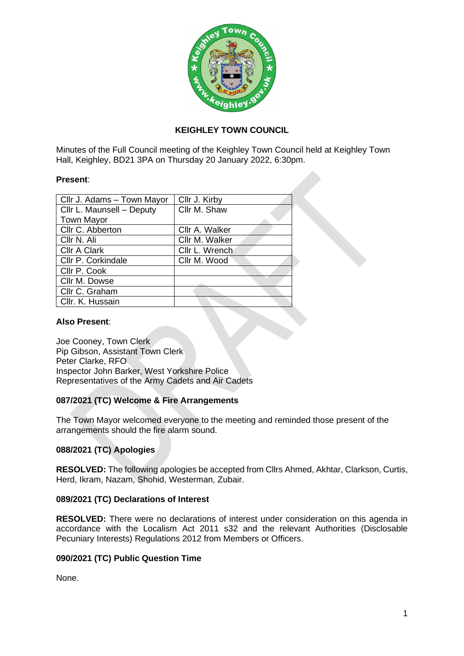

# **KEIGHLEY TOWN COUNCIL**

Minutes of the Full Council meeting of the Keighley Town Council held at Keighley Town Hall, Keighley, BD21 3PA on Thursday 20 January 2022, 6:30pm.

### **Present**:

| Cllr J. Adams - Town Mayor | Cllr J. Kirby  |
|----------------------------|----------------|
| Cllr L. Maunsell - Deputy  | Cllr M. Shaw   |
| <b>Town Mayor</b>          |                |
| Cllr C. Abberton           | Cllr A. Walker |
| Cllr N. Ali                | Cllr M. Walker |
| <b>Cllr A Clark</b>        | Cllr L. Wrench |
| Cllr P. Corkindale         | Cllr M. Wood   |
| Cllr P. Cook               |                |
| Cllr M. Dowse              |                |
| Cllr C. Graham             |                |
| Cllr. K. Hussain           |                |

### **Also Present**:

Joe Cooney, Town Clerk Pip Gibson, Assistant Town Clerk Peter Clarke, RFO Inspector John Barker, West Yorkshire Police Representatives of the Army Cadets and Air Cadets

# **087/2021 (TC) Welcome & Fire Arrangements**

The Town Mayor welcomed everyone to the meeting and reminded those present of the arrangements should the fire alarm sound.

# **088/2021 (TC) Apologies**

**RESOLVED:** The following apologies be accepted from Cllrs Ahmed, Akhtar, Clarkson, Curtis, Herd, Ikram, Nazam, Shohid, Westerman, Zubair.

# **089/2021 (TC) Declarations of Interest**

**RESOLVED:** There were no declarations of interest under consideration on this agenda in accordance with the Localism Act 2011 s32 and the relevant Authorities (Disclosable Pecuniary Interests) Regulations 2012 from Members or Officers.

# **090/2021 (TC) Public Question Time**

None.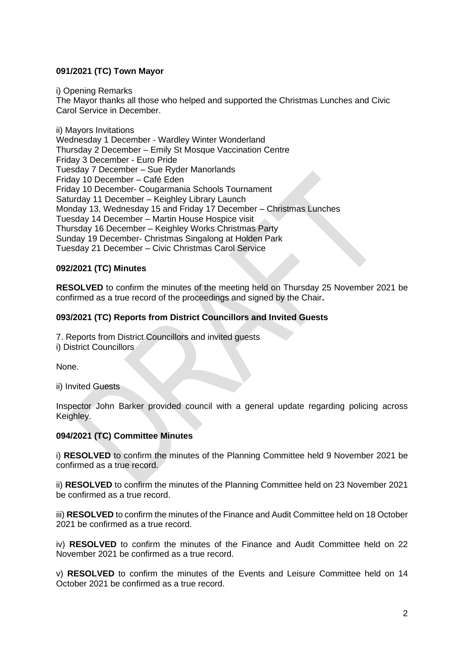# **091/2021 (TC) Town Mayor**

i) Opening Remarks

The Mayor thanks all those who helped and supported the Christmas Lunches and Civic Carol Service in December.

ii) Mayors Invitations Wednesday 1 December - Wardley Winter Wonderland Thursday 2 December – Emily St Mosque Vaccination Centre Friday 3 December - Euro Pride Tuesday 7 December – Sue Ryder Manorlands Friday 10 December – Café Eden Friday 10 December- Cougarmania Schools Tournament Saturday 11 December – Keighley Library Launch Monday 13, Wednesday 15 and Friday 17 December – Christmas Lunches Tuesday 14 December – Martin House Hospice visit Thursday 16 December – Keighley Works Christmas Party Sunday 19 December- Christmas Singalong at Holden Park Tuesday 21 December – Civic Christmas Carol Service

# **092/2021 (TC) Minutes**

**RESOLVED** to confirm the minutes of the meeting held on Thursday 25 November 2021 be confirmed as a true record of the proceedings and signed by the Chair**.**

# **093/2021 (TC) Reports from District Councillors and Invited Guests**

7. Reports from District Councillors and invited guests

i) District Councillors

None.

ii) Invited Guests

Inspector John Barker provided council with a general update regarding policing across Keighley.

# **094/2021 (TC) Committee Minutes**

i) **RESOLVED** to confirm the minutes of the Planning Committee held 9 November 2021 be confirmed as a true record.

ii) **RESOLVED** to confirm the minutes of the Planning Committee held on 23 November 2021 be confirmed as a true record.

iii) **RESOLVED** to confirm the minutes of the Finance and Audit Committee held on 18 October 2021 be confirmed as a true record.

iv) **RESOLVED** to confirm the minutes of the Finance and Audit Committee held on 22 November 2021 be confirmed as a true record.

v) **RESOLVED** to confirm the minutes of the Events and Leisure Committee held on 14 October 2021 be confirmed as a true record.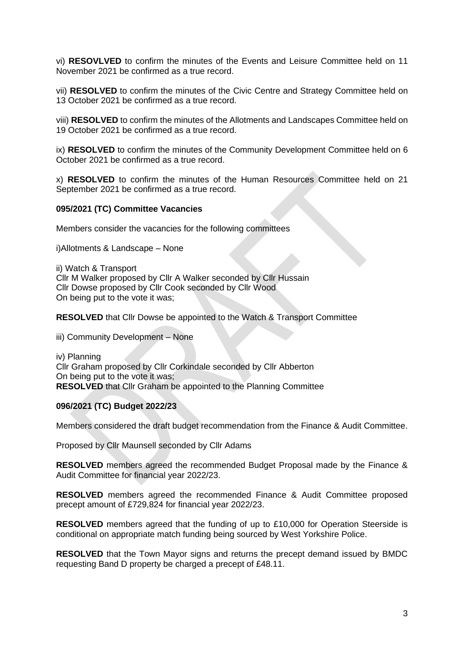vi) **RESOVLVED** to confirm the minutes of the Events and Leisure Committee held on 11 November 2021 be confirmed as a true record.

vii) **RESOLVED** to confirm the minutes of the Civic Centre and Strategy Committee held on 13 October 2021 be confirmed as a true record.

viii) **RESOLVED** to confirm the minutes of the Allotments and Landscapes Committee held on 19 October 2021 be confirmed as a true record.

ix) **RESOLVED** to confirm the minutes of the Community Development Committee held on 6 October 2021 be confirmed as a true record.

x) **RESOLVED** to confirm the minutes of the Human Resources Committee held on 21 September 2021 be confirmed as a true record.

#### **095/2021 (TC) Committee Vacancies**

Members consider the vacancies for the following committees

i)Allotments & Landscape – None

ii) Watch & Transport Cllr M Walker proposed by Cllr A Walker seconded by Cllr Hussain Cllr Dowse proposed by Cllr Cook seconded by Cllr Wood On being put to the vote it was;

**RESOLVED** that Cllr Dowse be appointed to the Watch & Transport Committee

iii) Community Development – None

iv) Planning Cllr Graham proposed by Cllr Corkindale seconded by Cllr Abberton On being put to the vote it was; **RESOLVED** that Cllr Graham be appointed to the Planning Committee

#### **096/2021 (TC) Budget 2022/23**

Members considered the draft budget recommendation from the Finance & Audit Committee.

Proposed by Cllr Maunsell seconded by Cllr Adams

**RESOLVED** members agreed the recommended Budget Proposal made by the Finance & Audit Committee for financial year 2022/23.

**RESOLVED** members agreed the recommended Finance & Audit Committee proposed precept amount of £729,824 for financial year 2022/23.

**RESOLVED** members agreed that the funding of up to £10,000 for Operation Steerside is conditional on appropriate match funding being sourced by West Yorkshire Police.

**RESOLVED** that the Town Mayor signs and returns the precept demand issued by BMDC requesting Band D property be charged a precept of £48.11.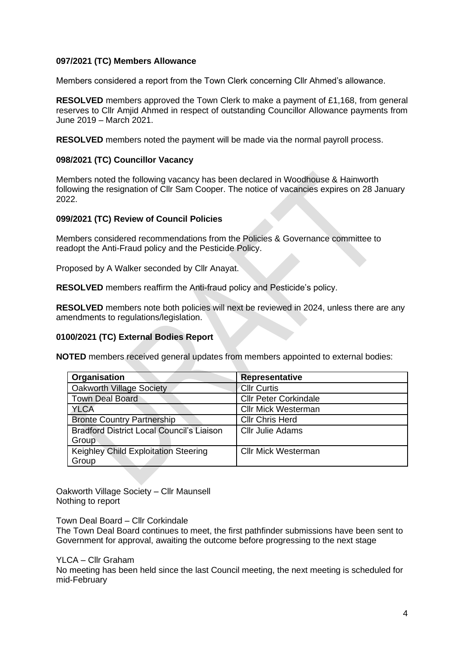### **097/2021 (TC) Members Allowance**

Members considered a report from the Town Clerk concerning Cllr Ahmed's allowance.

**RESOLVED** members approved the Town Clerk to make a payment of £1,168, from general reserves to Cllr Amjid Ahmed in respect of outstanding Councillor Allowance payments from June 2019 – March 2021.

**RESOLVED** members noted the payment will be made via the normal payroll process.

### **098/2021 (TC) Councillor Vacancy**

Members noted the following vacancy has been declared in Woodhouse & Hainworth following the resignation of Cllr Sam Cooper. The notice of vacancies expires on 28 January 2022.

### **099/2021 (TC) Review of Council Policies**

Members considered recommendations from the Policies & Governance committee to readopt the Anti-Fraud policy and the Pesticide Policy.

Proposed by A Walker seconded by Cllr Anayat.

**RESOLVED** members reaffirm the Anti-fraud policy and Pesticide's policy.

**RESOLVED** members note both policies will next be reviewed in 2024, unless there are any amendments to regulations/legislation.

# **0100/2021 (TC) External Bodies Report**

**NOTED** members received general updates from members appointed to external bodies:

| Organisation                                     | Representative               |
|--------------------------------------------------|------------------------------|
| <b>Oakworth Village Society</b>                  | <b>Cllr Curtis</b>           |
| <b>Town Deal Board</b>                           | <b>Cllr Peter Corkindale</b> |
| <b>YLCA</b>                                      | <b>Cllr Mick Westerman</b>   |
| <b>Bronte Country Partnership</b>                | <b>Cllr Chris Herd</b>       |
| <b>Bradford District Local Council's Liaison</b> | <b>Cllr Julie Adams</b>      |
| Group                                            |                              |
| Keighley Child Exploitation Steering             | <b>Cllr Mick Westerman</b>   |
| Group                                            |                              |

Oakworth Village Society – Cllr Maunsell Nothing to report

Town Deal Board – Cllr Corkindale

The Town Deal Board continues to meet, the first pathfinder submissions have been sent to Government for approval, awaiting the outcome before progressing to the next stage

YLCA – Cllr Graham

No meeting has been held since the last Council meeting, the next meeting is scheduled for mid-February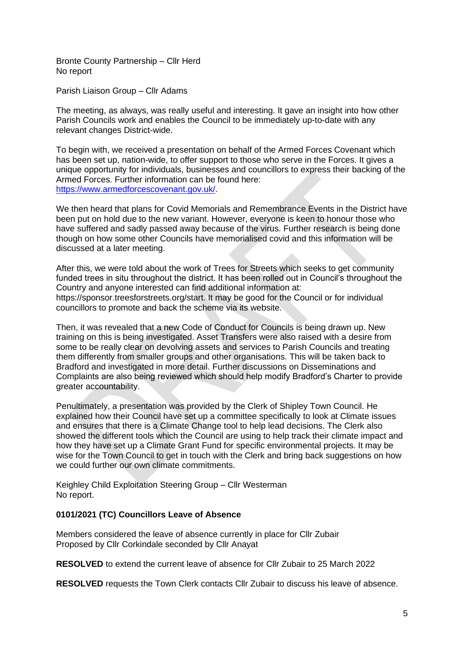Bronte County Partnership – Cllr Herd No report

Parish Liaison Group – Cllr Adams

The meeting, as always, was really useful and interesting. It gave an insight into how other Parish Councils work and enables the Council to be immediately up-to-date with any relevant changes District-wide.

To begin with, we received a presentation on behalf of the Armed Forces Covenant which has been set up, nation-wide, to offer support to those who serve in the Forces. It gives a unique opportunity for individuals, businesses and councillors to express their backing of the Armed Forces. Further information can be found here: [https://www.armedforcescovenant.gov.uk/.](https://www.armedforcescovenant.gov.uk/)

We then heard that plans for Covid Memorials and Remembrance Events in the District have been put on hold due to the new variant. However, everyone is keen to honour those who have suffered and sadly passed away because of the virus. Further research is being done though on how some other Councils have memorialised covid and this information will be discussed at a later meeting.

After this, we were told about the work of Trees for Streets which seeks to get community funded trees in situ throughout the district. It has been rolled out in Council's throughout the Country and anyone interested can find additional information at: https://sponsor.treesforstreets.org/start. It may be good for the Council or for individual councillors to promote and back the scheme via its website.

Then, it was revealed that a new Code of Conduct for Councils is being drawn up. New training on this is being investigated. Asset Transfers were also raised with a desire from some to be really clear on devolving assets and services to Parish Councils and treating them differently from smaller groups and other organisations. This will be taken back to Bradford and investigated in more detail. Further discussions on Disseminations and Complaints are also being reviewed which should help modify Bradford's Charter to provide greater accountability.

Penultimately, a presentation was provided by the Clerk of Shipley Town Council. He explained how their Council have set up a committee specifically to look at Climate issues and ensures that there is a Climate Change tool to help lead decisions. The Clerk also showed the different tools which the Council are using to help track their climate impact and how they have set up a Climate Grant Fund for specific environmental projects. It may be wise for the Town Council to get in touch with the Clerk and bring back suggestions on how we could further our own climate commitments.

Keighley Child Exploitation Steering Group – Cllr Westerman No report.

# **0101/2021 (TC) Councillors Leave of Absence**

Members considered the leave of absence currently in place for Cllr Zubair Proposed by Cllr Corkindale seconded by Cllr Anayat

**RESOLVED** to extend the current leave of absence for Cllr Zubair to 25 March 2022

**RESOLVED** requests the Town Clerk contacts Cllr Zubair to discuss his leave of absence.